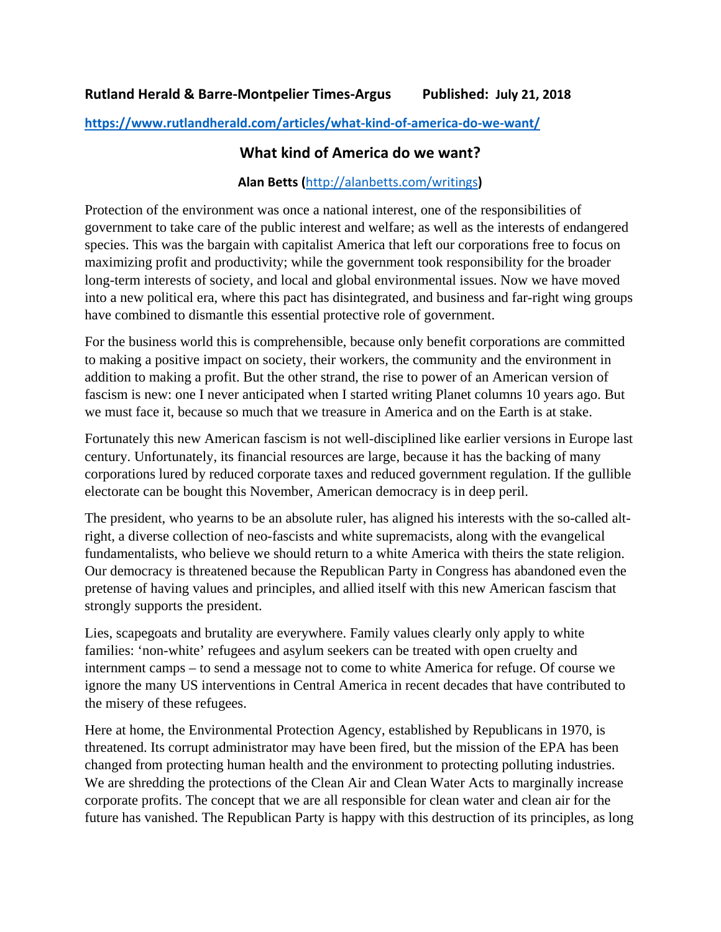**<https://www.rutlandherald.com/articles/what-kind-of-america-do-we-want/>**

## **What kind of America do we want?**

## **Alan Betts (**<http://alanbetts.com/writings>**)**

Protection of the environment was once a national interest, one of the responsibilities of government to take care of the public interest and welfare; as well as the interests of endangered species. This was the bargain with capitalist America that left our corporations free to focus on maximizing profit and productivity; while the government took responsibility for the broader long-term interests of society, and local and global environmental issues. Now we have moved into a new political era, where this pact has disintegrated, and business and far-right wing groups have combined to dismantle this essential protective role of government.

For the business world this is comprehensible, because only benefit corporations are committed to making a positive impact on society, their workers, the community and the environment in addition to making a profit. But the other strand, the rise to power of an American version of fascism is new: one I never anticipated when I started writing Planet columns 10 years ago. But we must face it, because so much that we treasure in America and on the Earth is at stake.

Fortunately this new American fascism is not well-disciplined like earlier versions in Europe last century. Unfortunately, its financial resources are large, because it has the backing of many corporations lured by reduced corporate taxes and reduced government regulation. If the gullible electorate can be bought this November, American democracy is in deep peril.

The president, who yearns to be an absolute ruler, has aligned his interests with the so-called altright, a diverse collection of neo-fascists and white supremacists, along with the evangelical fundamentalists, who believe we should return to a white America with theirs the state religion. Our democracy is threatened because the Republican Party in Congress has abandoned even the pretense of having values and principles, and allied itself with this new American fascism that strongly supports the president.

Lies, scapegoats and brutality are everywhere. Family values clearly only apply to white families: 'non-white' refugees and asylum seekers can be treated with open cruelty and internment camps – to send a message not to come to white America for refuge. Of course we ignore the many US interventions in Central America in recent decades that have contributed to the misery of these refugees.

Here at home, the Environmental Protection Agency, established by Republicans in 1970, is threatened. Its corrupt administrator may have been fired, but the mission of the EPA has been changed from protecting human health and the environment to protecting polluting industries. We are shredding the protections of the Clean Air and Clean Water Acts to marginally increase corporate profits. The concept that we are all responsible for clean water and clean air for the future has vanished. The Republican Party is happy with this destruction of its principles, as long